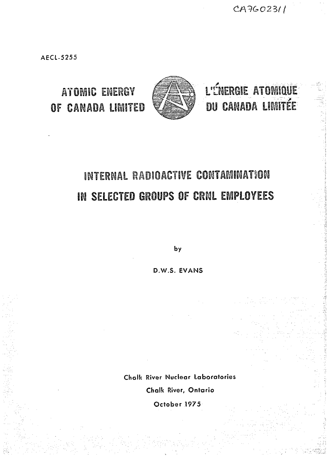CA7602311

AECL-5255

ATOMIC ENERGY



L'ÉNERGIE ATOMIQUE DU CANADA LIMITÉE

# INTERNAL RADIOACTIVE CONTAMINATION IN SELECTED GROUPS OF CRNL EMPLOYEES

by

D.W.S. EVANS

Chalk River Nuclear laboratories Chalk River, Ontario

October 1975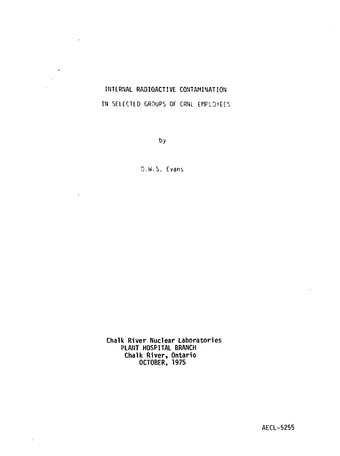# **INTERNAL** RADIOACTIVE CONTAMINATION IN SELECTED GROUPS OF CRNL EMPLOYEES

 $\epsilon$ 

 $\sim$ 

 $\ddot{\phantom{a}}$ 

 $\blacksquare$ J.

by

D.W.S. Evans

**Chalk River Nuclear Laboratories PLANT HOSPITAL BRANCH Chalk River, Ontario OCTOBER, 1975**

**AECL-5255**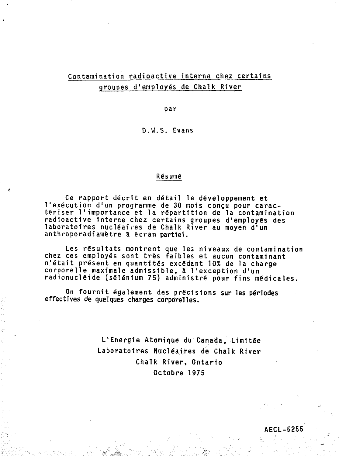# **Contamination radioactive interne chez certains groupes d'employes de Chalk River**

**par**

**D.W.S. Evans**

## Résumé

**Ce rapport decrit en detail le deveioppement et 1'execution d'un programme de 30 mois congu pour caracteriser I<sup>1</sup>importance et la repartition de la contamination radioactive interne chez certains groupes d'employes des laboratoires nucieaires de Chalk River au moyen d'un anthroporadiametre a ecran partiel.**

**Les resultats montrent que les niveaux de contamination chez ces employes sont tres faibles et aucun contaminant n'etait present en quantites excedant 10% de la charge corporelle maximale admissible, a 1'exception d'un radionucieide (selenium 75) administre pour fins medicales.**

On fournit également des précisions sur les périodes **effectives de quelques charges corporeiles.**

> **L'Energie Atomique du Canada, Limitee Laboratoires Nucieaires de Chalk River Chalk River, Ontario Octobre 1975**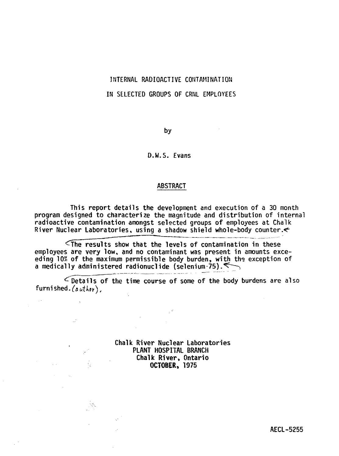# INTERNAL RADIOACTIVE CONTAMINATION IN SELECTED GROUPS OF CRNL EMPLOYEES

by

## D.W.S. Evans

## ABSTRACT

This report details the development and execution of a 30 month program designed to characterize the magnitude and distribution of internal radioactive contamination amongst selected groups of employees at Chalk River Nuclear Laboratories, using a shadow shield whole-body counter.

 $\zeta$ The results show that the levels of contamination in these employees are very low, and no contaminant was present in amounts exceeding 10\* of the maximum permissible body burden, with the exception of a medically administered radionuclide (selenium-75). $\iff$ 

 $\leq$  Details of the time course of some of the body burdens are also furnished.  $(auther)$ ,

> Chalk River Nuclear Laboratories PLANT HOSPITAL BRANCH **Chalk River, Ontario OCTOBER,** 1975

> > AECL-5255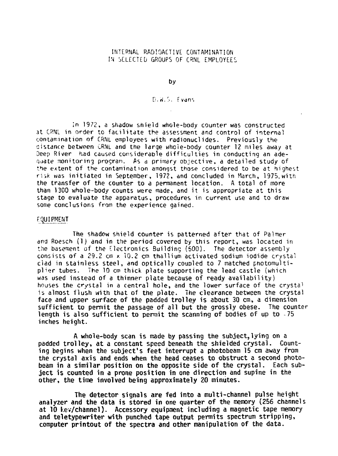#### INTERNAL RADIOACTIVE CONTAMINATION IN SELECTED GROUPS OF CRNL EMPLOYEES

by

#### D.W.S. Evans

In 1972, a shadow shield whole-body counter was constructed at CPNL in order to facilitate the assessment and control of internal contamination of CRNL employees with radionuclides. Previously the aistance between CRNL and the large whole-body counter 12 miles away at Deep River had caused considerable difficulties in conducting an adequate monitoring progran. As d primary objective, a detailed study of the extent of the contamination amongst those considered to be at highest risk was initiated in September, 1972, and concluded in March, 1975, witn the transfer of the counter to a permanent location. A total of more than 1300 whole-body counts were made, and it is appropriate at this stage to evaluate the apparatus, procedures in current use and to draw some conclusions from the experience gained.

#### fguiPMENT

**The shadow shield counter is patterned** after that of Palmer and Roesch **(1) and in** the **period covered** by **this report,** was located in the basement of the Electronics Building (500). The detector assembly consists **of** a 29.2 cm x 10.2 cm thallium activated sodium iodide crystal **clad in stainless steel, and optically** coupled to 7 **matched** photomulti**plier tubes.** The **10** cm **thick plate supporting the lead** castle (which was **used instead of a thinner plate because of ready availability)** houses **the crystal in** a **central hole, and** the lower **surface** of the crysta<sup>1</sup> is **almost flush with that of the plate. The clearance between the crystal face and upper surface of the padded trolley is about 30 cm, a dimension sufficient to permit the passage of all but the grossly obese. The counter length is also sufficient to permit the scanning of bodies of up to -75 inches height.**

**A whole-body scan is made by passing the subject,lying on a padded trolley, at a constant speed beneath the shielded crystal. Counting begins when the subject's feet interrupt a photobeam 15 cm away from the crystal axis and ends when the head ceases to obstruct a second photobeam in a similar position on the opposite side of the crystal. Each subject is counted in a prone position in one direction and supine in the other, the time involved being approximately 20 minutes.**

**The detector signals are fed into a multi-channel pulse height analyzer and the data is stored in one quarter of the memory (256 channels at 10 kev/channel). Accessory equipment including a magnetic tape memory and teletypewriter with punched tape output permits spectrum stripping, computer printout of the spectra and other manipulation of the data.**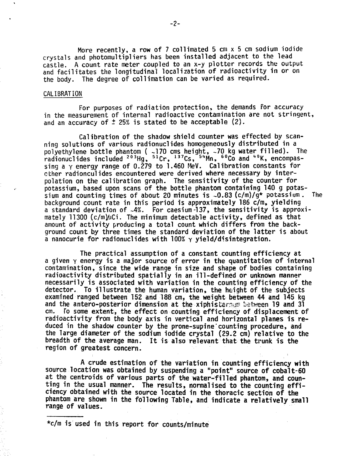**More recently, a row of 7 collimated 5 cm x 5 cm sodium iodide crystals and photomultipliers has been installed adjacent to the lead castle. A count rate meter coupled to an x-y plotter records the output and facilitates the longitudinal localization of radioactivity in or on the body. The degree of collimation can be varied as required.**

#### **CALIBRATION**

**For purposes of radiation protection, the demands for accuracy in the measurement of internal radioactive contamination are not stringent, and an accuracy of t 25% is stated to be acceptable (2).**

**Calibration of the shadow shield counter was effected by scanning solutions of various radionuclides homogeneously distributed in a polyethylene bottle phantom ( -170 cms height, -70 kg water filled). The** radionuclides included <sup>203</sup>Hg, <sup>51</sup>Cr, <sup>137</sup>Cs, <sup>54</sup>Mn, <sup>60</sup>Co and <sup>40</sup>K, encompa **sing a y energy range of 0.279 to 1.460 MeV. Calibration constants for other radionculides encountered were derived where necessary by interpolation on the calibration graph. The sensitivity of the counter for potassium, based upon scans of the bottle phantom containing 140 g potassium and counting times of about 20 minutes is -0.83 (c/m)/g\* potassium . The background count rate in this period is approximately 186 c/m, yielding a standard deviation of -4%. For caesium-137, the sensitivity is approximately 11300 (c/m^JCi. The minimum detectable activity, defined as that amount of activity producing a total count which differs from the background count by three times the standard deviation of the latter is about a nanocurie for radionuclides with 100% y yield/disintegration.**

**The practical assumption of a constant counting efficiency at a given Y energy is a major source of error in the quantitation of internal contamination, since the wide range in size and shape of bodies containing radioactivity distributed spatially in an ill-defined or unknown manner necessarily is associated with variation in the counting efficiency of the detector. To illustrate the human variation, the htight of the subjects examined ranged between 152 and 188 cm, the weight between 44 and 145 kg and the antero-posterior dimension at the xiphisternum between 19 and 31 cm. To some extent, the effect on counting efficiency of displacement of radioactivity from the body axis in vertical and horizontal planes is reduced in the shadow counter by the prone-supine'counting procedure, and the large diameter of the sodium iodide crystal (29.2 cm) relative to the breadth of the average man. It is also relevant that the trunk is the region of greatest concern.**

**A crude estimation of the variation in counting efficiency with source location was obtained by suspending a "point" source of cobalt-60 at the centroids of various parts of the water-filled phantom, and counting in the usual manner. The results, normalised to the counting efficiency obtained with the source located in the thoracic section of the phantom are shown in the following Table, and indicate a relatively small range of values.**

**\*c/m is used in this report for counts/minute**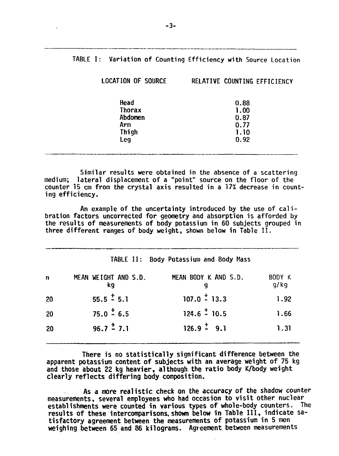| TABLE I: Variation of Counting Efficiency with Source Location |                              |  |
|----------------------------------------------------------------|------------------------------|--|
| LOCATION OF SOURCE                                             | RELATIVE COUNTING EFFICIENCY |  |
| Head                                                           | 0.88                         |  |
| <b>Thorax</b>                                                  | 1.00                         |  |
| Abdomen                                                        | 0.87                         |  |
| Arm.                                                           | 0.77                         |  |
| Thigh                                                          | 1.10                         |  |
| Leg                                                            | 0.92                         |  |
|                                                                |                              |  |

Similar results were obtained in the absence of a scattering medium; lateral displacement of a "point" source on the floor of the counter 15 cm from the crystal axis resulted in a 17% decrease in counting efficiency.

An example of the uncertainty introduced by the use of calibration factors uncorrected for geometry and absorption is afforded by the results of measurements of body potassium in 60 subjects grouped in three different ranges of body weight, shown below in Table II .

|    |                            | TABLE II: Body Potassium and Body Mass |                |
|----|----------------------------|----------------------------------------|----------------|
| n  | MEAN WEIGHT AND S.D.<br>ka | MEAN BODY K AND S.D.<br>q              | BODY K<br>g/kg |
| 20 | $55.5 \div 5.1$            | $107.0 \div 13.3$                      | 1.92           |
| 20 | $75.0 \div 6.5$            | $124.6 \div 10.5$                      | 1.66           |
| 20 | $96.7 \div 7.1$            | $126.9 \div 9.1$                       | 1.31           |
|    |                            |                                        |                |

There is no statistically significant difference between the apparent potassium content of subjects with an average weight of 75 kg and those about 22 kg heavier, although the ratio body K/body weight clearly reflects differing body composition.

As a more realistic check on the accuracy of the shadow counter measurements, several employees who had occasion to visit other nuclear establishments were counted in various types of whole-body counters. The results of these intercomparisons, shown below in Table III , indicate satisfactory agreement between the measurements of potassium in 5 men weighing between 65 and 86 kilograms. Agreement between measurements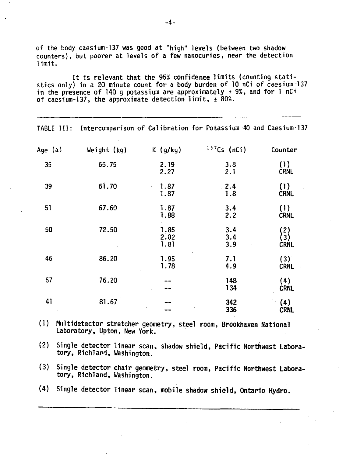**of the body caesium-137 was good at "high" levels (between two shadow counters), but poorer at levels of a few nanocuries, near the detection limit.**

**It is relevant that the 95£ confidence limits (counting statistics only) in a 20 minute count for a body burden of 10 nCi of caesium-137 in the presence of 140 g potassium are approximately ± 9%, and for 1 nCi of caesium-137, the approximate detection limit, ± 80%.**

|         |               |                      |                   | TABLE III: Intercomparison of Calibration for Potassium-40 and Caesium-137 |
|---------|---------------|----------------------|-------------------|----------------------------------------------------------------------------|
| Age (a) | Weight $(kg)$ | $K$ (g/kg)           | $137Cs$ (nCi)     | Counter                                                                    |
| 35      | 65.75         | 2.19<br>2.27         | 3.8<br>2.1        | (1)<br>CRNL                                                                |
| 39      | 61.70         | 1.87<br>1.87         | 2.4<br>1.8        | (1)<br><b>CRNL</b>                                                         |
| 51      | 67.60         | 1.87<br>1.88         | 3.4<br>2.2        | (1)<br><b>CRNL</b>                                                         |
| 50      | 72.50         | 1.85<br>2.02<br>1.81 | 3.4<br>3.4<br>3.9 | (2)<br>(3)<br><b>CRNL</b>                                                  |
| 46      | 86.20         | 1.95<br>1.78         | 7.1<br>4.9        | (3)<br><b>CRNL</b>                                                         |
| 57      | 76.20         |                      | 148<br>134        | (4)<br><b>CRNL</b>                                                         |
| 41      | 81.67         |                      | 342<br>$-336$     | (4)<br><b>CRNL</b>                                                         |

**(1) Milltidetector stretcher geometry, steel room, Brookhaven National Laboratory, Upton, New York.**

**(2) Single detector linear scan, shadow shield, Pacific Northwest Laboratory, Rich!and, Washington.**

- **(3) Single detector chair geometry, steel room, Pacific Northwest Laboratory, Rich!and, Washington.**
- **(4) Single detector linear scan, mobile shadow shield, Ontario Hydro.**

**-4-**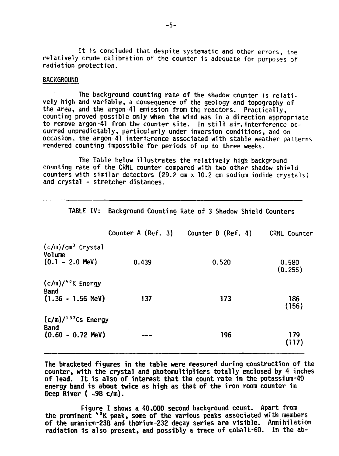It is concluded that despite systematic and other errors, the relatively crude calibration of the counter is adequate for purposes of radiation protection.

#### BACKGROUND

The background counting rate of the shadow counter is relatively high and variable, a consequence of the geology and topography of the area, and the argon  $41$  emission from the reactors. Practically, counting proved possible only **when** the **wind** was in a direction appropriate to remove argon-41 from the counter site. In still air, interference occurred unpredictably, particularly under inversion conditions, and on occasion, the argon-41 interference associated with stable weather patterns rendered counting impossible for periods of up to three weeks.

The Table below illustrates the relatively high background counting rate of the CRNL counter compared with two other shadow shield counters with similar detectors (29.2 cm x 10.2 cm sodium iodide crystals) and crystal - stretcher distances.

|                                                                  |       | Counter A (Ref. 3) Counter B (Ref. 4) | CRNL Counter     |
|------------------------------------------------------------------|-------|---------------------------------------|------------------|
| $(c/m)/cm^3$ Crystal<br>Volume<br>$(0.1 - 2.0 \text{ MeV})$      | 0.439 | 0.520                                 | 0.580<br>(0.255) |
| $(c/m)/40K$ Energy<br><b>Band</b><br>$(1.36 - 1.56 \text{ MeV})$ | 137   | 173                                   | 186<br>(156)     |
| $(c/m)/137Cs$ Energy<br><b>Band</b><br>$(0.60 - 0.72$ MeV)       |       | 196                                   | 179<br>(117)     |

TABLE IV: Background Counting Rate of 3 Shadow Shield Counters

**The bracketed figures in the table were measured during construction of** the **counter, with the crystal and photomultipliers totally enclosed by 4 inches of lead. It is also of interest that the count rate in the potassium-40 energy band is about twice as high as that of the iron room counter in Deep River ( -98 c/m).**

**Figure I shows a 40,000 second background count. Apart** from **the prominent <sup>I</sup>\*°K peak, some of the various peaks associated with** members **of the uranium-238 and thorium-232 decay series are visible. Annihilation radiation is also present, and possibly a trace of cobalt-60. In** the ab-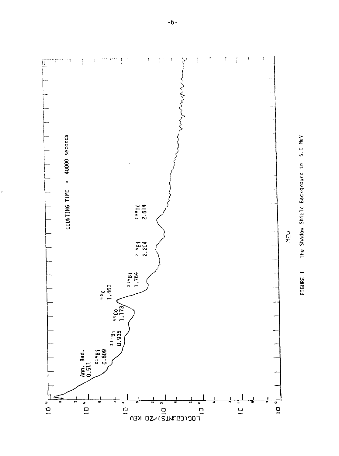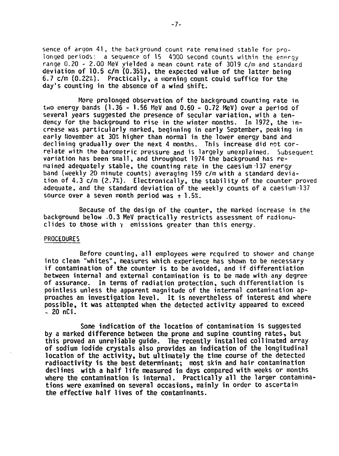sence of argon 41, the background count rate remained stable for prolonged periods: a sequence of 15 4000 second counts within the energy range 0.20 - 2.00 MeV yielded a mean count rate of 3019 c/m and standard deviation of 10.5 c/m (0.35%), the expected value of the latter being 6.7 c/m  $(0.22%)$ . Practically, a morning count could suffice for the day's counting in the absence of a wind shift.

More prolonged observation of the background counting rate in two energy bands (1.36 - 1.56 MeV and 0.60 - 0.72 MeV) over a period of several years suggested the presence of secular variation, with a tendency for the background to rise in the winter months. In 1972, the increase was particularly marked, beginning in early September, peaking in early November at 30% higher than normal in the lower energy band and declining gradually over the next 4 months. This increase did not correlate with the barometric pressure and is largely unexplained. Subsequent variation has been small, and throughout 1974 the background has remained adequately stable, the counting rate in the caesium 137 energy band (weekly 20 minute counts) averaging 159 c/m with a standard deviation of 4.3 c/m (2.7%). Electronically, the stability of the counter proved adequate, and the standard deviation of the weekly counts of a caesium-137 source over a seven month period was  $\pm$  1.5%.

Because of the design of the counter, the marked increase in the background below -0.3 MeV practically restricts assessment of radionuclides to those with  $\gamma$  emissions greater than this energy.

#### PROCEDURES

Before counting, all employees were required to shower and change into clean "whites", measures which experience has shown to be necessary if contamination of the counter is to be avoided, and if differentiation between internal and external contamination is to be made with any degree of assurance. In terms of radiation protection, such differentiation is pointless unless the apparent magnitude of the internal contamination approaches an investigation level. It is nevertheless of interest and where possible, it was attempted when the detected activity appeared to exceed  $-20$  nCi.

Some indication of the location of contamination is suggested by a marked difference between the prone and supine counting rates, but this proved an unreliable guide. The recently installed collimated array of sodium iodide crystals also provides an indication of the longitudinal location of the activity, but ultimately the time course of the detected radioactivity is the best determinant; most skin and hair contamination declines with a half life measured in days compared with weeks or months where the contamination is internal. Practically all the larger contaminations were examined on several occasions, mainly in order to ascertain the effective half lives of the contaminants.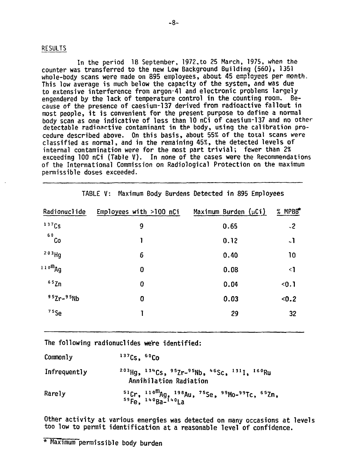#### **RESULTS**

In the period 18 September, 1972, to 25 March, 1975, when the counter was transferred to the new Low Background Building (560), 1351 whole-body scans were made on 895 employees, about 45 employees per month. This low average is much below the capacity of the system, and was due to extensive interference from argon-41 and electronic problems largely engendered by the lack of temperature control in the counting room.  $R_{\rm P}$ cause of the presence of caesium-137 derived from radioactive fallout in most people, it is convenient for the present purpose to define a normal body scan as one indicative of less than 10 nCi of caesium-137 and no other detectable radioactive contaminant in the body, using the calibration procedure described above. On this basis, about 55% of the total scans were classified as normal, and in the remaining 45%, the detected levels of internal contamination were for the most part trivial; fewer than 2% exceeding 100 nCi (Table V). In none of the cases were the Recommendations of the International Commission on Radiological Protection on the maximum permissible doses exceeded.

| Radionuclide        | Employees with $>100$ nCi | Maximum Burden $(\mu Ci)$ | $%$ MPBB $*$   |
|---------------------|---------------------------|---------------------------|----------------|
| 137Cs               | 9                         | 0.65                      | $-2$           |
| 60<br>Co            | 1                         | 0.12                      | $\overline{a}$ |
| 203Hg               | 6                         | 0.40                      | 10             |
| 110 <sup>m</sup> Ag | $\bf{0}$                  | 0.08                      | $\leq$         |
| 65Zn                | 0                         | 0.04                      | $0.1$          |
| $95Zr-95Nb$         | 0                         | 0.03                      | < 0.2          |
| $75$ Se             |                           | 29                        | 32             |

TABLE V: Maximum Body Burdens Detected in 895 Employees

The following radionuclides were identified:

| Commonly     | $137Cs - 60C0$                                                                                                                                            |
|--------------|-----------------------------------------------------------------------------------------------------------------------------------------------------------|
| Infrequently | <sup>203</sup> Hg, <sup>134</sup> Cs, <sup>95</sup> Zr- <sup>95</sup> Nb, <sup>46</sup> Sc, <sup>131</sup> I, <sup>160</sup> Ru<br>Annihilation Radiation |
| Rarely       | $^{51}$ Cr, $^{110}$ <sup>m</sup> Ag, $^{198}$ Au, $^{75}$ Se, $^{99}$ Mo- $^{99}$ Tc, $^{65}$ Zn, $^{59}$ Fe, $^{140}$ Ba- $^{140}$ La                   |

Other activity at various energies was detected on many occasions at levels too low to permit identification at a reasonable level of confidence.

<sup>\*</sup> Maximum permissible body burden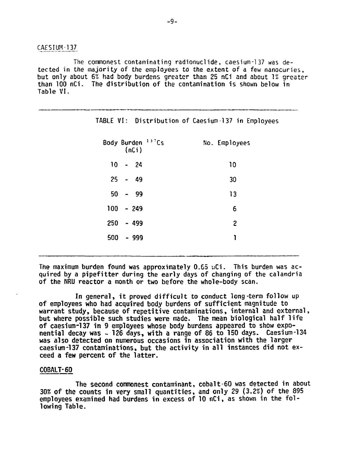CAESTUM-137

The commonest contaminating radionuclide, caesium-137 was detected in the majority of the employees to the extent of a few nanocuries, but only about 6% had body burdens greater than 25 nCi and about 1% greater than 100 nCi. The distribution of the contamination is shown below in Table VI.

|     |                                        | TABLE VI: Distribution of Caesium-137 in Employees |
|-----|----------------------------------------|----------------------------------------------------|
|     | Body Burden <sup>137</sup> Cs<br>(nCi) | No. Employees                                      |
|     | $10 - 24$                              | 10                                                 |
|     | $25 - 49$                              | 30                                                 |
|     | $50 - 99$                              | 13                                                 |
|     | $100 - 249$                            | 6                                                  |
| 250 | - 499                                  | $\overline{c}$                                     |
| 500 | - 999                                  | 1                                                  |
|     |                                        |                                                    |

The maximum burden found was approximately 0.65 uCi. This burden was acquired by a pipefitter during the early days of changing of the calandria of the NRU reactor a month or two before the whole-body scan.

In general, it proved difficult to conduct long-term follow up of employees who had acquired body burdens of sufficient magnitude to warrant study, because of repetitive contaminations, internal and external, but where possible such studies were made. The mean biological half life of caesium-137 in 9 employees whose body burdens appeared to show exponential decay was - 126 days, with a range of 86 to 150 days. Caesium-134 was also detected on numerous occasions in association with the larger caesium-137 contaminations, but the activity in all instances did not exceed a few percent of the latter.

#### COBALT-60

The second commonest contaminant, cobalt-60 was detected in about 30% of the counts in very small quantities, and only 29 (3.2%) of the 895 employees examined had burdens in excess of 10 nCi, as shown in the following Table.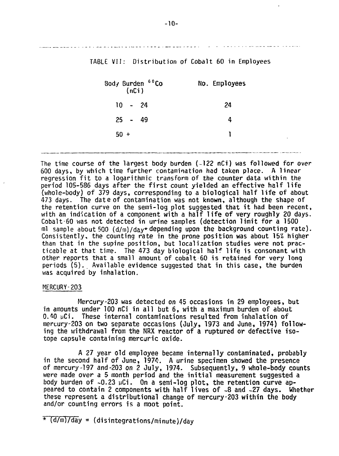TABLE VII: Distribution of Cobalt 60 in Employees

| Body Burden 60Co<br>(nCi) | No. Employees |  |
|---------------------------|---------------|--|
| $10 - 24$                 | 24            |  |
| $25 - 49$                 | 4             |  |
| $50 +$                    |               |  |
|                           |               |  |

The time course of the largest body burden (-122 nCi) was followed for over 600 days, by which time further contamination had taken place. A linear regression fit to a logarithmic transform of the counter data within the period 105-586 days after the first count yielded an effective half life (whole-body) of 379 days, corresponding to a biological half life of about 473 days. The date of contamination was not known, although the shape of the retention curve on the semi-log plot suggested that it had been recent, with an indication of a component with a half life of very roughly 20 days. Cobalt-60 was not detected in urine samples (detection limit for a 1500 ml sample about 500  $(d/m)/day*$  depending upon the background counting rate). Consistently, the counting rate in the prone position was about 15& higher than that in the supine position, but localization studies were not practicable at that time. The 473 day biological half life is consonant with other reports that a small amount of cobalt 60 is retained for very long periods (5). Available evidence suggested that in this case, the burden was acquired by inhalation.

#### MERCURY-203

Mercury-203 was detected on 45 occasions in 29 employees, but in amounts under 100 nCi in all but 6, with a maximum burden of about 0.40  $\upmu$ Ci. These internal contaminations resulted from inhalation of mercury-203 on two separate occasions (July, 1973 and June, 1974) following the withdrawal from the NRX reactor of a ruptured or defective isotope capsule containing mercuric oxide.

A 27 year old employee became internally contaminated, probably in the second half of June, 1974. A urine specimen showed the presence of mercury-197 and-203 on 2 July, 1974. Subsequently, 9 whole-body counts were made over a 5 month period and the initial measurement suggested a body burden of  $\sim 0.23$   $\mu$ Ci. On a semi-log plot, the retention curve appeared to contain 2 components with half lives of -8 and -27 days. Whether these represent a distributional change of mercury-203 within the body and/or counting errors is a moot point.

 $\star$  (d/m)/day = (disintegrations/minute)/day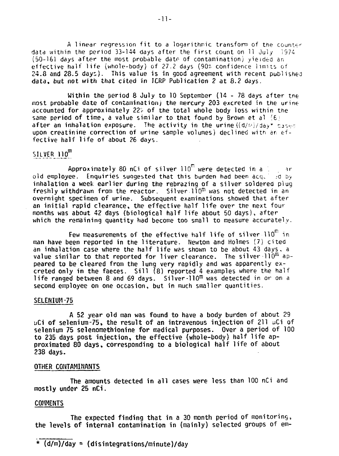A linear regression fit to a logarithmic transform of the counter data within the period 33-144 days after the first count on 11 July 1974 (50-161 days after the most probable date of contamination) yielded an effective halt life (whole-body) of 27.2 days (90% confidence limns of 24.8 and 28.5 days). This value is in good agreement with recent published data, but not with that cited in ICRP Publication 2 at 8.2 days.

Within the period 8 July to 10 September (14 - 78 days after tne most probable date of contamination) the mercury 203 excreted in the urine accounted for approximately 22'\* of the total whole body loss within the same period of time, a value similar to that found by Brown et al  $(6)$ after an inhalation exposure. The activity in the urine  $((d/m)/day^*)$  cases upon creatinine correction of urine sample volumes) declined with an effective half life of about 26 days.

# SILVER 110<sup>m</sup>

Approximately 80 nCi of silver  $110^{\text{m}}$  were detected in a  $\frac{1}{2}$  are old employee. Enquiries suggested that this burden had been  $acc - cd$  by inhalation a week earlier during the rebrazing of a silver soldered plug freshly withdrawn from the reactor. Silver  $110<sup>m</sup>$  was not detected in an overnight specimen of urine. Subsequent examinations showed that after an initial rapid clearance, the effective half life over the next four months was about 42 days (biological half life about 50 days), after which the remaining quantity had become too small to measure accurately.

Few measurements of the effective half life of silver- $110^{m}$  in man have been reported in the literature. Newton and Holmes (7) cited an inhalation case where the half life was shown to be about 43 days, a value similar to that reported for liver clearance. The silver  $110^{\text{m}}$  appeared to be cleared from the lung very rapidly and was apparently excreted only in the faeces. Sill  $(8)$  reported 4 examples where the half life ranged between 8 and 69 days. Silver-110 $^m$  was detected in or on a second employee on one occasion, but in much smaller quantities.

#### SELENIUM-75

A 52 year old man was found to have a body burden of about 29 uCi of selenium-75, the result of an intravenous injection of 211 uCi of selenium 75 selenomethionine for medical purposes. Over a period of 100 to 235 days post injection, the effective (whole-body) half life approximated 80 days, corresponding to a biological half life of about 238 days.

#### OTHER CONTAMINANTS

The amounts detected in all cases were less than 100 nCi and mostly under 25 nCi.

#### COMMENTS

The expected finding that in a 30 month period of monitoring, the levels of internal contamination in (mainly) selected groups of em-

\* (d/m)/day = (disintegrations/minute)/day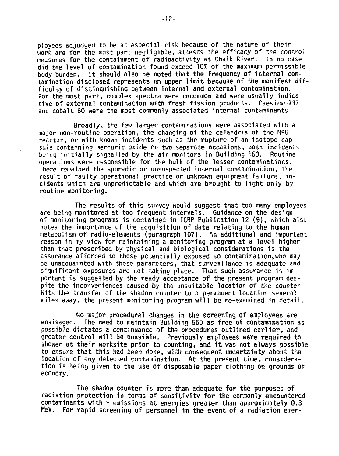ployees adjudged to be at especial risk because of the nature of their work are for the most part negligible, attests the efficacy of the control measures for the containment of radioactivity at Chalk River. In no case did the level of contamination found exceed 10% of the maximum permissible body burden. It should also be noted that the frequency of internal contamination disclosed represents an upper limit because of the manifest difficulty of distinguishing between internal and external contamination. For the most part, complex spectra were uncommon and were usually indicative of external contamination with fresh fission products. Caesium-137 and cobalt-60 were the most commonly associated internal contaminants.

Broadly, the few larger contaminations were associated with a major non-routine operation, the changing of the calandria of the NRU reactor, or with known incidents such as the rupture of an isotope capsule containing mercuric oxide on two separate occasions, both incidents being initially signalled by the air monitors in Building 163. Routine operations were responsible for the bulk of the lesser contaminations. There remained the sporadic or unsuspected internal contamination, the result of faulty operational practice or unknown equipment failure, incidents which are unpredictable and which are brought to light only by routine monitoring.

The results of this survey would suggest that too many employees are being monitored at too frequent intervals. Guidance on the design of monitoring programs is contained in ICRP Publication 12 (9), which also notes the importance of the acquisition of data relating to the human metabolism of radio-elements (paragraph 107). An additional and important reason in my view for maintaining a monitoring program at a level higher than that prescribed by physical and biological considerations is the assurance afforded to those potentially exposed to contamination,who may be unacquainted with these parameters, that surveillance is adequate and significant exposures are not taking place. That such assurance is important is suggested by the ready acceptance of the present program despite the inconveniences caused by the unsuitable location of the counter. With the transfer of the shadow counter to a permanent location several miles away, the present monitoring program will be re-examined in detail.

No major procedural changes in the screening of employees are<br>envisaged. The need to maintain Building 560 as free of contamination a The need to maintain Building 560 as free of contamination as possible dictates a continuance of the procedures outlined earlier, and greater control will be possible. Previously employees were required to shower at their worksite prior to counting, and it was not always possible to ensure that this had been done, with consequent uncertainty about the location of any detected contamination. At the present time, consideration is being given to the use of disposable paper clothing on grounds of economy.

The shadow counter is more than adequate for the purposes of radiation protection in terms of sensitivity for the commonly encountered contaminants with  $\gamma$  emissions at energies greater than approximately 0.3 MeV. For rapid screening of personnel in the event of a radiation emer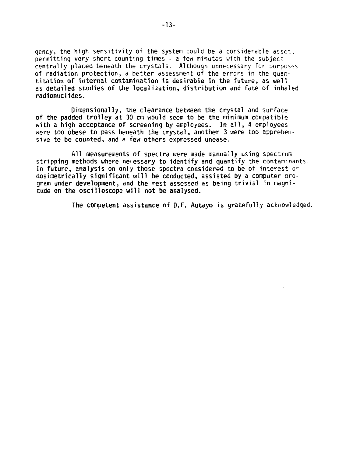gency, the high sensitivity of the system could be a considerable asset, permitting very short counting times - a few minutes with the subject centrally placed beneath the crystals. Although unnecessary for purposes of radiation protection, a better assessment of the errors in the quantitation of internal contamination is desirable in the future, as well as detailed studies of the localization, distribution and fate of inhaled radionuclides.

Dimensionally, the clearance between the crystal and surface of the padded trolley at 30 cm would seem to be the minimum compatible with a high acceptance of screening by employees. In all, 4 employees were too obese to pass beneath the crystal, another 3 were too apprehensive to be counted, and a few others expressed unease.

All measurements of spectra were made manually using spectrum stripping methods where necessary to identify and quantify the contaminants. In future, analysis on only those spectra considered to be of interest or dosimetrically significant will be conducted, assisted by a computer program under development, and the rest assessed as being trivial in magnitude on the oscilloscope will not be analysed.

The competent assistance of D.F. Autayo is gratefully acknowledged.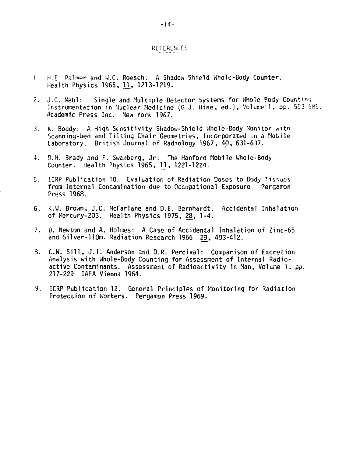#### REFEREMCES

- 1. H.E. Palmer and W.C. Roesch: A Shadow Shield Whole-Body Counter. Health Physics 1965, H, 1213-1219.
- 2. J.C. Mehl: Single and Multiple Detector Systems for Whole Body Counting Instrumentation in Nuclear Medicine (G.J. Hine, ed.), Volume 1, pp. 553-585. Academic Press Inc. New York 1967.
- 3. K. Boddy: A High Sensitivity Shadow-Shield Hhole-Body Monitor witn Scanning-bed and Tilting Chair Geometries, Incorporated in a Mobile Laboratory. British Journal of Radiology 1967, 40, 631-637.
- 4. D.N. Brady and F. Swanberg, Jr: The Hanford Mobile Whole-Body Counter. Health Physics 1965, U , 1221-1224.
- 5. ICRP Publication 10. Evaluation of Radiation Doses to Body Tissues from Internal Contamination due to Occupational Exposure. Pergamon Press 1968.
- 6. K.W. Brown, J.C. McFarlane and D.E. Bernhardt. Accidental Inhalation of Mercury-203. Health Physics 1975, 28, 1-4.
- 7. D. Newton and A. Holmes: A Case of Accidental Inhalation of Zinc-65 and Silver-llOm. Radiation Research 1966 29, 403-412.
- 8. C.W. Sill, J.I. Anderson and D.R. Percival: Comparison of Excretion Analysis with Whole-Body Counting for Assessment of Internal Radioactive Contaminants. Assessment of Radioactivity in Man, Volume 1, pp. 217-229 IAEA Vienna 1964.
- 9. ICRP Publication 12. General Principles of Monitoring for Radiation Protection of Workers. Pergamon Press 1969.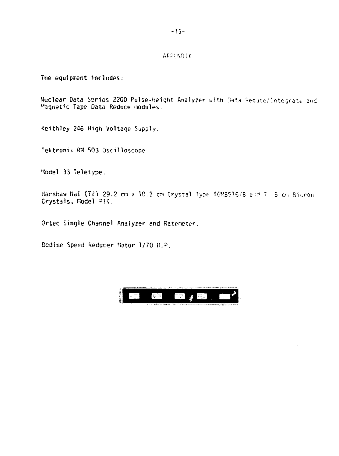#### **APPENDIX**

The equipment includes:

Nuclear Data Series 2200 Pulse-height Analyzer with Data Reduce/Integrate and Magnetic Tape Data Reduce modules.

Keithley 246 High Voltage Supply.

Tektronix RM 503 Oscilloscope.

Model 33 Teletype.

Harshaw NaI (TE) 29.2 cm x 10.2 cm Crystal Type 46MBS16/B and 7 5 cm Bicron Crystals, Model PIC.

Ortec Single Channel Analyzer and Ratemeter.

Bodine Speed Reducer Motor 1/70 H.P.